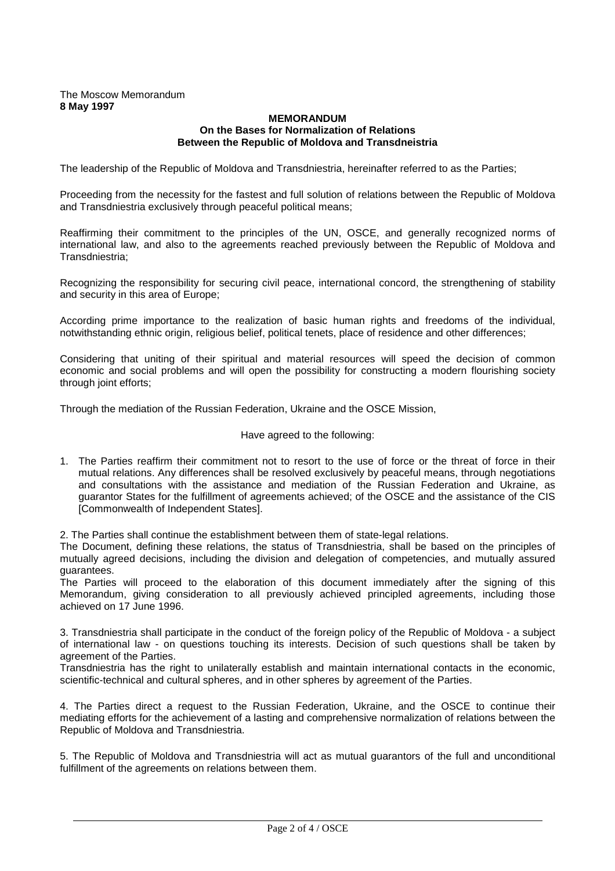## The Moscow Memorandum **8 May 1997**

## **MEMORANDUM On the Bases for Normalization of Relations Between the Republic of Moldova and Transdneistria**

The leadership of the Republic of Moldova and Transdniestria, hereinafter referred to as the Parties;

Proceeding from the necessity for the fastest and full solution of relations between the Republic of Moldova and Transdniestria exclusively through peaceful political means;

Reaffirming their commitment to the principles of the UN, OSCE, and generally recognized norms of international law, and also to the agreements reached previously between the Republic of Moldova and Transdniestria;

Recognizing the responsibility for securing civil peace, international concord, the strengthening of stability and security in this area of Europe;

According prime importance to the realization of basic human rights and freedoms of the individual, notwithstanding ethnic origin, religious belief, political tenets, place of residence and other differences;

Considering that uniting of their spiritual and material resources will speed the decision of common economic and social problems and will open the possibility for constructing a modern flourishing society through joint efforts;

Through the mediation of the Russian Federation, Ukraine and the OSCE Mission,

Have agreed to the following:

1. The Parties reaffirm their commitment not to resort to the use of force or the threat of force in their mutual relations. Any differences shall be resolved exclusively by peaceful means, through negotiations and consultations with the assistance and mediation of the Russian Federation and Ukraine, as guarantor States for the fulfillment of agreements achieved; of the OSCE and the assistance of the CIS [Commonwealth of Independent States].

2. The Parties shall continue the establishment between them of state-legal relations.

The Document, defining these relations, the status of Transdniestria, shall be based on the principles of mutually agreed decisions, including the division and delegation of competencies, and mutually assured guarantees.

The Parties will proceed to the elaboration of this document immediately after the signing of this Memorandum, giving consideration to all previously achieved principled agreements, including those achieved on 17 June 1996.

3. Transdniestria shall participate in the conduct of the foreign policy of the Republic of Moldova - a subject of international law - on questions touching its interests. Decision of such questions shall be taken by agreement of the Parties.

Transdniestria has the right to unilaterally establish and maintain international contacts in the economic, scientific-technical and cultural spheres, and in other spheres by agreement of the Parties.

4. The Parties direct a request to the Russian Federation, Ukraine, and the OSCE to continue their mediating efforts for the achievement of a lasting and comprehensive normalization of relations between the Republic of Moldova and Transdniestria.

5. The Republic of Moldova and Transdniestria will act as mutual guarantors of the full and unconditional fulfillment of the agreements on relations between them.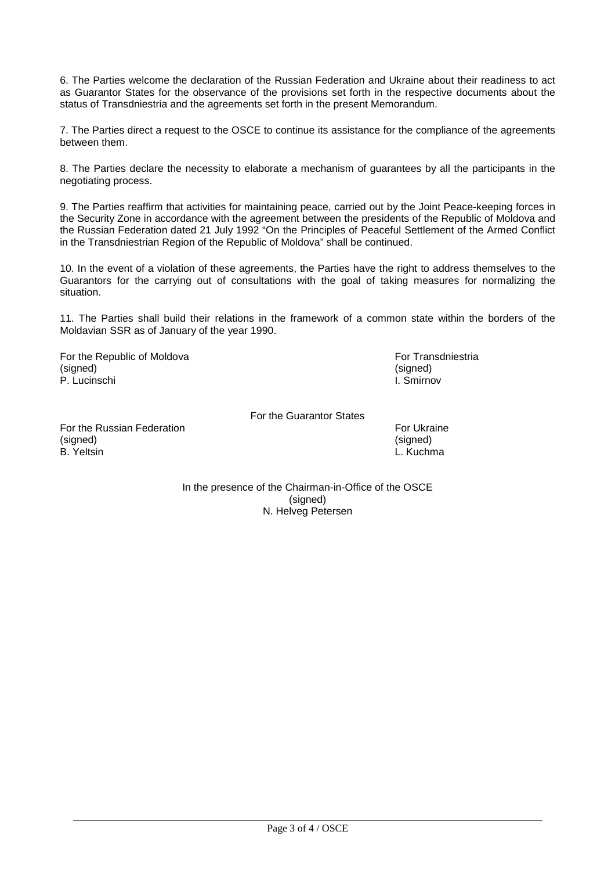6. The Parties welcome the declaration of the Russian Federation and Ukraine about their readiness to act as Guarantor States for the observance of the provisions set forth in the respective documents about the status of Transdniestria and the agreements set forth in the present Memorandum.

7. The Parties direct a request to the OSCE to continue its assistance for the compliance of the agreements between them.

8. The Parties declare the necessity to elaborate a mechanism of guarantees by all the participants in the negotiating process.

9. The Parties reaffirm that activities for maintaining peace, carried out by the Joint Peace-keeping forces in the Security Zone in accordance with the agreement between the presidents of the Republic of Moldova and the Russian Federation dated 21 July 1992 "On the Principles of Peaceful Settlement of the Armed Conflict in the Transdniestrian Region of the Republic of Moldova" shall be continued.

10. In the event of a violation of these agreements, the Parties have the right to address themselves to the Guarantors for the carrying out of consultations with the goal of taking measures for normalizing the situation.

11. The Parties shall build their relations in the framework of a common state within the borders of the Moldavian SSR as of January of the year 1990.

For the Republic of Moldova **For Transdniestria** (signed) (signed) P. Lucinschi I. Smirnov

For the Guarantor States

For the Russian Federation **For the Russian Federation** For Ukraine (signed) (signed) B. Yeltsin L. Kuchma

In the presence of the Chairman-in-Office of the OSCE (signed) N. Helveg Petersen